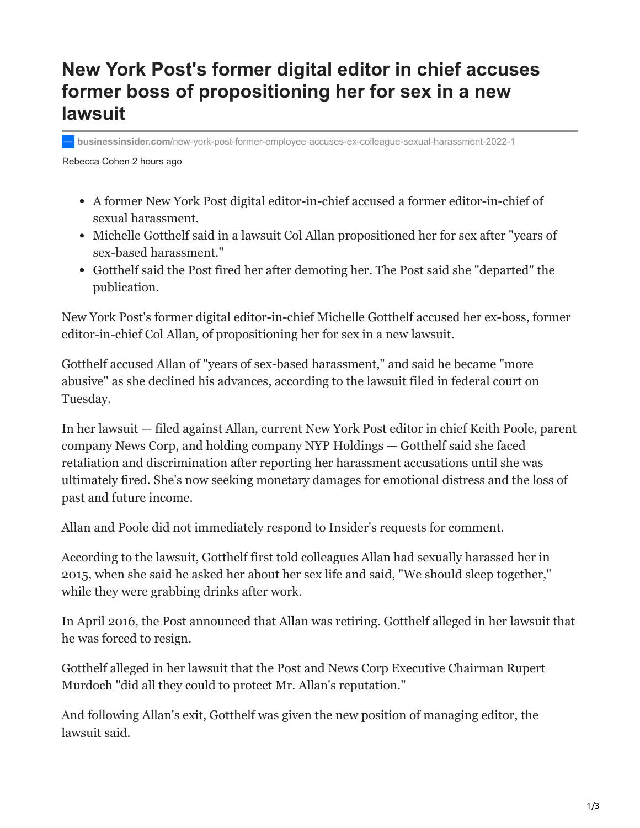## **New York Post's former digital editor in chief accuses former boss of propositioning her for sex in a new lawsuit**

**businessinsider.com**[/new-york-post-former-employee-accuses-ex-colleague-sexual-harassment-2022-1](https://www.businessinsider.com/new-york-post-former-employee-accuses-ex-colleague-sexual-harassment-2022-1)

Rebecca Cohen 2 hours ago

- A former New York Post digital editor-in-chief accused a former editor-in-chief of sexual harassment.
- Michelle Gotthelf said in a lawsuit Col Allan propositioned her for sex after "years of sex-based harassment."
- Gotthelf said the Post fired her after demoting her. The Post said she "departed" the publication.

New York Post's former digital editor-in-chief Michelle Gotthelf accused her ex-boss, former editor-in-chief Col Allan, of propositioning her for sex in a new lawsuit.

Gotthelf accused Allan of "years of sex-based harassment," and said he became "more abusive" as she declined his advances, according to the lawsuit filed in federal court on Tuesday.

In her lawsuit — filed against Allan, current New York Post editor in chief Keith Poole, parent company News Corp, and holding company NYP Holdings — Gotthelf said she faced retaliation and discrimination after reporting her harassment accusations until she was ultimately fired. She's now seeking monetary damages for emotional distress and the loss of past and future income.

Allan and Poole did not immediately respond to Insider's requests for comment.

According to the lawsuit, Gotthelf first told colleagues Allan had sexually harassed her in 2015, when she said he asked her about her sex life and said, "We should sleep together," while they were grabbing drinks after work.

In April 2016, [the Post announced](https://nypost.com/2016/04/14/longtime-post-editor-in-chief-col-allan-is-retiring/) that Allan was retiring. Gotthelf alleged in her lawsuit that he was forced to resign.

Gotthelf alleged in her lawsuit that the Post and News Corp Executive Chairman Rupert Murdoch "did all they could to protect Mr. Allan's reputation."

And following Allan's exit, Gotthelf was given the new position of managing editor, the lawsuit said.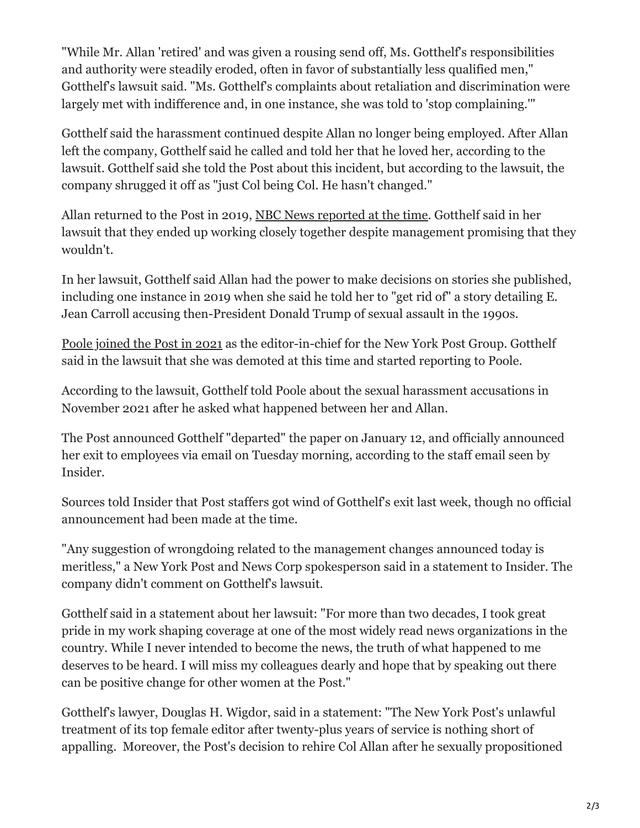"While Mr. Allan 'retired' and was given a rousing send off, Ms. Gotthelf's responsibilities and authority were steadily eroded, often in favor of substantially less qualified men," Gotthelf's lawsuit said. "Ms. Gotthelf's complaints about retaliation and discrimination were largely met with indifference and, in one instance, she was told to 'stop complaining.'"

Gotthelf said the harassment continued despite Allan no longer being employed. After Allan left the company, Gotthelf said he called and told her that he loved her, according to the lawsuit. Gotthelf said she told the Post about this incident, but according to the lawsuit, the company shrugged it off as "just Col being Col. He hasn't changed."

Allan returned to the Post in 2019, [NBC News reported at the time.](https://www.nbcnews.com/business/business-news/fiery-editor-trump-golfing-buddy-back-new-york-post-n962996) Gotthelf said in her lawsuit that they ended up working closely together despite management promising that they wouldn't.

In her lawsuit, Gotthelf said Allan had the power to make decisions on stories she published, including one instance in 2019 when she said he told her to "get rid of" a story detailing E. Jean Carroll accusing then-President Donald Trump of sexual assault in the 1990s.

[Poole joined the Post in 2021](https://nypost.com/2021/01/06/keith-poole-to-take-the-helm-at-the-new-york-post-group/) as the editor-in-chief for the New York Post Group. Gotthelf said in the lawsuit that she was demoted at this time and started reporting to Poole.

According to the lawsuit, Gotthelf told Poole about the sexual harassment accusations in November 2021 after he asked what happened between her and Allan.

The Post announced Gotthelf "departed" the paper on January 12, and officially announced her exit to employees via email on Tuesday morning, according to the staff email seen by Insider.

Sources told Insider that Post staffers got wind of Gotthelf's exit last week, though no official announcement had been made at the time.

"Any suggestion of wrongdoing related to the management changes announced today is meritless," a New York Post and News Corp spokesperson said in a statement to Insider. The company didn't comment on Gotthelf's lawsuit.

Gotthelf said in a statement about her lawsuit: "For more than two decades, I took great pride in my work shaping coverage at one of the most widely read news organizations in the country. While I never intended to become the news, the truth of what happened to me deserves to be heard. I will miss my colleagues dearly and hope that by speaking out there can be positive change for other women at the Post."

Gotthelf's lawyer, Douglas H. Wigdor, said in a statement: "The New York Post's unlawful treatment of its top female editor after twenty-plus years of service is nothing short of appalling. Moreover, the Post's decision to rehire Col Allan after he sexually propositioned